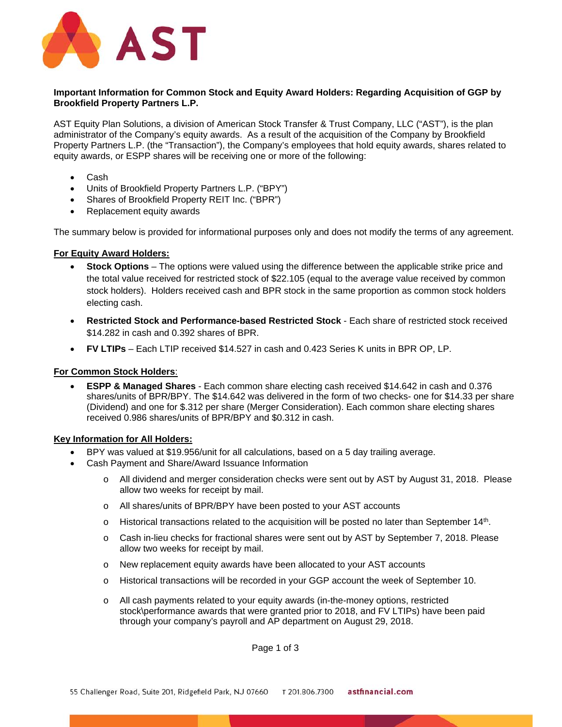

# **Important Information for Common Stock and Equity Award Holders: Regarding Acquisition of GGP by Brookfield Property Partners L.P.**

AST Equity Plan Solutions, a division of American Stock Transfer & Trust Company, LLC ("AST"), is the plan administrator of the Company's equity awards. As a result of the acquisition of the Company by Brookfield Property Partners L.P. (the "Transaction"), the Company's employees that hold equity awards, shares related to equity awards, or ESPP shares will be receiving one or more of the following:

- Cash
- Units of Brookfield Property Partners L.P. ("BPY")
- Shares of Brookfield Property REIT Inc. ("BPR")
- Replacement equity awards

The summary below is provided for informational purposes only and does not modify the terms of any agreement.

## **For Equity Award Holders:**

- **Stock Options** The options were valued using the difference between the applicable strike price and the total value received for restricted stock of \$22.105 (equal to the average value received by common stock holders). Holders received cash and BPR stock in the same proportion as common stock holders electing cash.
- **Restricted Stock and Performance-based Restricted Stock** Each share of restricted stock received \$14.282 in cash and 0.392 shares of BPR.
- **FV LTIPs**  Each LTIP received \$14.527 in cash and 0.423 Series K units in BPR OP, LP.

## **For Common Stock Holders**:

 **ESPP & Managed Shares** - Each common share electing cash received \$14.642 in cash and 0.376 shares/units of BPR/BPY. The \$14.642 was delivered in the form of two checks- one for \$14.33 per share (Dividend) and one for \$.312 per share (Merger Consideration). Each common share electing shares received 0.986 shares/units of BPR/BPY and \$0.312 in cash.

# **Key Information for All Holders:**

- BPY was valued at \$19.956/unit for all calculations, based on a 5 day trailing average.
- Cash Payment and Share/Award Issuance Information
	- o All dividend and merger consideration checks were sent out by AST by August 31, 2018. Please allow two weeks for receipt by mail.
	- o All shares/units of BPR/BPY have been posted to your AST accounts
	- $\circ$  Historical transactions related to the acquisition will be posted no later than September 14th.
	- o Cash in-lieu checks for fractional shares were sent out by AST by September 7, 2018. Please allow two weeks for receipt by mail.
	- o New replacement equity awards have been allocated to your AST accounts
	- o Historical transactions will be recorded in your GGP account the week of September 10.
	- o All cash payments related to your equity awards (in-the-money options, restricted stock\performance awards that were granted prior to 2018, and FV LTIPs) have been paid through your company's payroll and AP department on August 29, 2018.

Page 1 of 3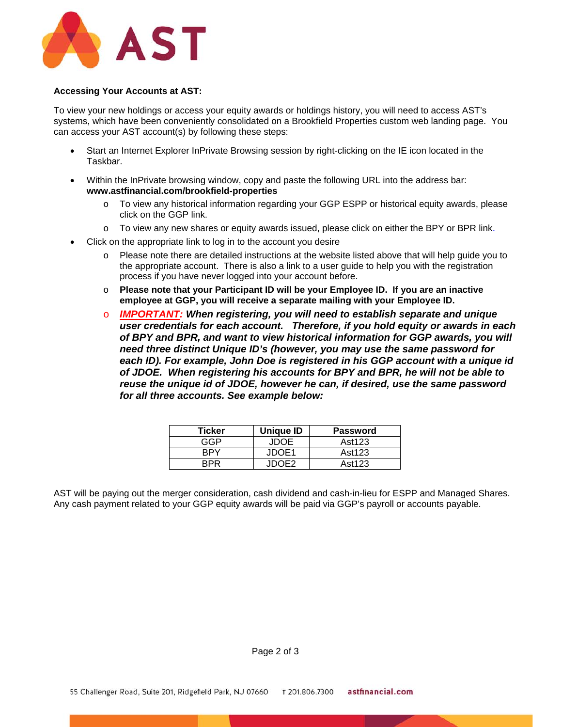

#### **Accessing Your Accounts at AST:**

To view your new holdings or access your equity awards or holdings history, you will need to access AST's systems, which have been conveniently consolidated on a Brookfield Properties custom web landing page. You can access your AST account(s) by following these steps:

- Start an Internet Explorer InPrivate Browsing session by right-clicking on the IE icon located in the Taskbar.
- Within the InPrivate browsing window, copy and paste the following URL into the address bar: **www.astfinancial.com/brookfield-properties** 
	- o To view any historical information regarding your GGP ESPP or historical equity awards, please click on the GGP link.
	- o To view any new shares or equity awards issued, please click on either the BPY or BPR link.
- Click on the appropriate link to log in to the account you desire
	- o Please note there are detailed instructions at the website listed above that will help guide you to the appropriate account. There is also a link to a user guide to help you with the registration process if you have never logged into your account before.
	- o **Please note that your Participant ID will be your Employee ID. If you are an inactive employee at GGP, you will receive a separate mailing with your Employee ID.**
	- o *IMPORTANT: When registering, you will need to establish separate and unique user credentials for each account. Therefore, if you hold equity or awards in each of BPY and BPR, and want to view historical information for GGP awards, you will need three distinct Unique ID's (however, you may use the same password for*  each ID). For example, John Doe is registered in his GGP account with a unique id *of JDOE. When registering his accounts for BPY and BPR, he will not be able to reuse the unique id of JDOE, however he can, if desired, use the same password for all three accounts. See example below:*

| <b>Ticker</b> | Unique ID | <b>Password</b> |
|---------------|-----------|-----------------|
| GGP           | JDOE      | Ast123          |
| RPY           | JDOE1     | Ast123          |
| RDR           | .IDOE2    | Ast123          |

AST will be paying out the merger consideration, cash dividend and cash-in-lieu for ESPP and Managed Shares. Any cash payment related to your GGP equity awards will be paid via GGP's payroll or accounts payable.